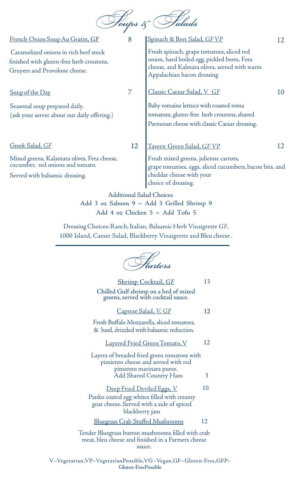

| French Onion Soup Au Gratin, GF                                                                                    | 8  | Spinach & Beet Salad, GF VP                                                                                                                                            | 12 |
|--------------------------------------------------------------------------------------------------------------------|----|------------------------------------------------------------------------------------------------------------------------------------------------------------------------|----|
| Caramelized onions in rich beef stock<br>finished with gluten-free herb croutons,<br>Gruyere and Provolone cheese. |    | Fresh spinach, grape tomatoes, sliced red<br>onion, hard boiled egg, pickled beets, Feta<br>cheese, and Kalmata olives, served with warm<br>Appalachian bacon dressing |    |
| <u>Soup of the Day</u>                                                                                             | 7  | <u> Classic Caesar Salad, V GF</u>                                                                                                                                     | 10 |
| Seasonal soup prepared daily.<br>(ask your server about our daily offering.)                                       |    | Baby romaine lettuce with roasted roma<br>tomatoes, gluten-free herb croutons, shaved<br>Parmesan cheese with classic Caesar dressing.                                 |    |
| Greek Salad, GF                                                                                                    | 12 | <u> Tavern Green Salad, GF VP</u>                                                                                                                                      | 12 |
| Mixed greens, Kalamata olives, Feta cheese,<br>cucumber, red onions and tomato.<br>Served with balsamic dressing.  |    | Fresh mixed greens, julienne carrots,<br>grape tomatoes, eggs, sliced cucumbers, bacon bits, and<br>cheddar cheese with your<br>choice of dressing.                    |    |
|                                                                                                                    |    | <b>Additional Salad Choices</b>                                                                                                                                        |    |

Add 3 oz Salmon 9 ~ Add 3 Grilled Shrimp 9 Add 4 oz Chicken 5 ~ Add Tofu 5

Dressing Choices:Ranch,Italian, Balsamic Herb Vinaigrette *GF*, 1000 Island, Caeser Salad, Blackberry Vinaigrette and Bleu cheese.

Starters Shrimp Cocktail, *GF* Chilled Gulf shrimp on a bed of mixed greens, served with cocktail sauce. 13 Layered Fried Green Tomato, V Layers of breaded fried green tomatoes with pimiento cheese and served with red pimiento marinara puree. Add Shaved Country Ham 3 12 Fresh Buffalo Mozzarella, sliced tomatoes, & basil, drizzled with balsamic reduction. Caprese Salad, *V, GF* 12 Deep Fried Deviled Eggs, *V* Panko coated egg whites filled with creamy goat cheese. Served with a side of spiced blackberry jam 10 12 Tender Bluegrass button mushrooms filled with crab meat, bleu cheese and finished in a Farmers cheese sauce. Bluegrass Crab Stuffed Mushrooms